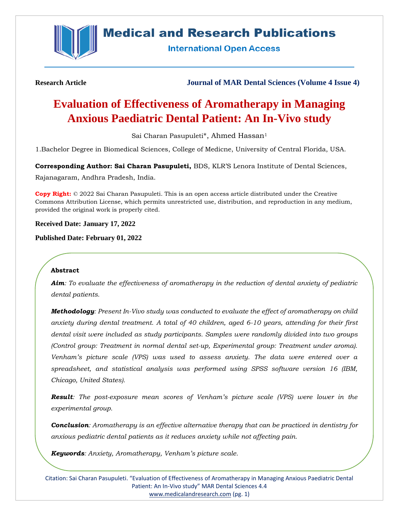

# **Medical and Research Publications**

**International Open Access** 

**Research Article Journal of MAR Dental Sciences (Volume 4 Issue 4)**

# **Evaluation of Effectiveness of Aromatherapy in Managing Anxious Paediatric Dental Patient: An In-Vivo study**

Sai Charan Pasupuleti\*, Ahmed Hassan<sup>1</sup>

1.Bachelor Degree in Biomedical Sciences, College of Medicne, University of Central Florida, USA.

**Corresponding Author: Sai Charan Pasupuleti,** BDS, KLR'S Lenora Institute of Dental Sciences,

Rajanagaram, Andhra Pradesh, India.

**Copy Right:** © 2022 Sai Charan Pasupuleti. This is an open access article distributed under the Creative Commons Attribution License, which permits unrestricted use, distribution, and reproduction in any medium, provided the original work is properly cited.

**Received Date: January 17, 2022**

**Published Date: February 01, 2022**

# **Abstract**

*Aim: To evaluate the effectiveness of aromatherapy in the reduction of dental anxiety of pediatric dental patients.* 

*Methodology: Present In-Vivo study was conducted to evaluate the effect of aromatherapy on child anxiety during dental treatment. A total of 40 children, aged 6-10 years, attending for their first dental visit were included as study participants. Samples were randomly divided into two groups (Control group: Treatment in normal dental set-up, Experimental group: Treatment under aroma). Venham's picture scale (VPS) was used to assess anxiety. The data were entered over a spreadsheet, and statistical analysis was performed using SPSS software version 16 (IBM, Chicago, United States).*

*Result: The post-exposure mean scores of Venham's picture scale (VPS) were lower in the experimental group.*

*Conclusion: Aromatherapy is an effective alternative therapy that can be practiced in dentistry for anxious pediatric dental patients as it reduces anxiety while not affecting pain.*

*Keywords: Anxiety, Aromatherapy, Venham's picture scale.*

Citation: Sai Charan Pasupuleti. "Evaluation of Effectiveness of Aromatherapy in Managing Anxious Paediatric Dental Patient: An In-Vivo study" MAR Dental Sciences 4.4 [www.medicalandresearch.com](http://www.medicalandresearch.com/) (pg. 1)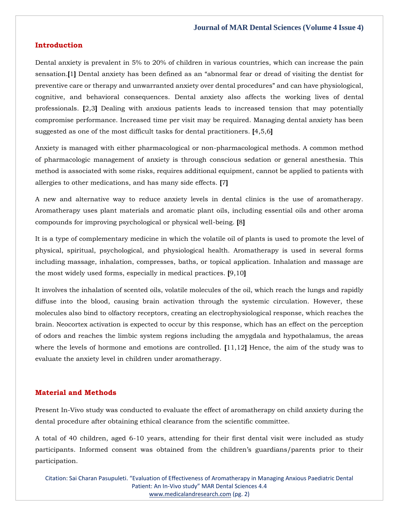#### **Introduction**

Dental anxiety is prevalent in 5% to 20% of children in various countries, which can increase the pain sensation.**[**1**]** Dental anxiety has been defined as an "abnormal fear or dread of visiting the dentist for preventive care or therapy and unwarranted anxiety over dental procedures" and can have physiological, cognitive, and behavioral consequences. Dental anxiety also affects the working lives of dental professionals. **[**2,3**]** Dealing with anxious patients leads to increased tension that may potentially compromise performance. Increased time per visit may be required. Managing dental anxiety has been suggested as one of the most difficult tasks for dental practitioners. **[**4,5,6**]**

Anxiety is managed with either pharmacological or non-pharmacological methods. A common method of pharmacologic management of anxiety is through conscious sedation or general anesthesia. This method is associated with some risks, requires additional equipment, cannot be applied to patients with allergies to other medications, and has many side effects. **[**7**]**

A new and alternative way to reduce anxiety levels in dental clinics is the use of aromatherapy. Aromatherapy uses plant materials and aromatic plant oils, including essential oils and other aroma compounds for improving psychological or physical well-being. **[**8**]**

It is a type of complementary medicine in which the volatile oil of plants is used to promote the level of physical, spiritual, psychological, and physiological health. Aromatherapy is used in several forms including massage, inhalation, compresses, baths, or topical application. Inhalation and massage are the most widely used forms, especially in medical practices. **[**9,10**]**

It involves the inhalation of scented oils, volatile molecules of the oil, which reach the lungs and rapidly diffuse into the blood, causing brain activation through the systemic circulation. However, these molecules also bind to olfactory receptors, creating an electrophysiological response, which reaches the brain. Neocortex activation is expected to occur by this response, which has an effect on the perception of odors and reaches the limbic system regions including the amygdala and hypothalamus, the areas where the levels of hormone and emotions are controlled. **[**11,12**]** Hence, the aim of the study was to evaluate the anxiety level in children under aromatherapy.

#### **Material and Methods**

Present In-Vivo study was conducted to evaluate the effect of aromatherapy on child anxiety during the dental procedure after obtaining ethical clearance from the scientific committee.

A total of 40 children, aged 6-10 years, attending for their first dental visit were included as study participants. Informed consent was obtained from the children's guardians/parents prior to their participation.

Citation: Sai Charan Pasupuleti. "Evaluation of Effectiveness of Aromatherapy in Managing Anxious Paediatric Dental Patient: An In-Vivo study" MAR Dental Sciences 4.4 [www.medicalandresearch.com](http://www.medicalandresearch.com/) (pg. 2)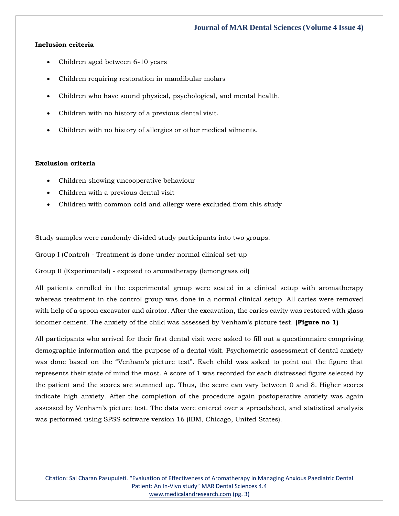#### **Inclusion criteria**

- Children aged between 6-10 years
- Children requiring restoration in mandibular molars
- Children who have sound physical, psychological, and mental health.
- Children with no history of a previous dental visit.
- Children with no history of allergies or other medical ailments.

#### **Exclusion criteria**

- Children showing uncooperative behaviour
- Children with a previous dental visit
- Children with common cold and allergy were excluded from this study

Study samples were randomly divided study participants into two groups.

Group I (Control) - Treatment is done under normal clinical set-up

Group II (Experimental) - exposed to aromatherapy (lemongrass oil)

All patients enrolled in the experimental group were seated in a clinical setup with aromatherapy whereas treatment in the control group was done in a normal clinical setup. All caries were removed with help of a spoon excavator and airotor. After the excavation, the caries cavity was restored with glass ionomer cement. The anxiety of the child was assessed by Venham's picture test. **(Figure no 1)**

All participants who arrived for their first dental visit were asked to fill out a questionnaire comprising demographic information and the purpose of a dental visit. Psychometric assessment of dental anxiety was done based on the "Venham's picture test". Each child was asked to point out the figure that represents their state of mind the most. A score of 1 was recorded for each distressed figure selected by the patient and the scores are summed up. Thus, the score can vary between 0 and 8. Higher scores indicate high anxiety. After the completion of the procedure again postoperative anxiety was again assessed by Venham's picture test. The data were entered over a spreadsheet, and statistical analysis was performed using SPSS software version 16 (IBM, Chicago, United States).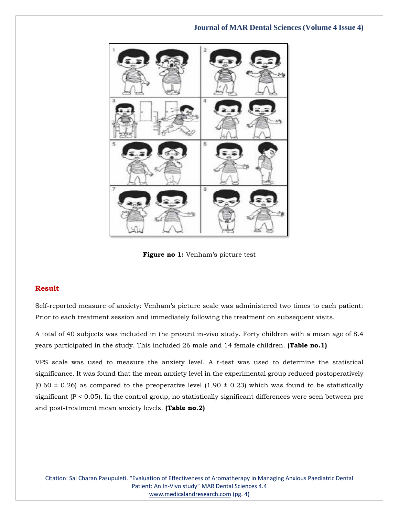

Figure no 1: Venham's picture test

# **Result**

Self-reported measure of anxiety: Venham's picture scale was administered two times to each patient: Prior to each treatment session and immediately following the treatment on subsequent visits.

A total of 40 subjects was included in the present in-vivo study. Forty children with a mean age of 8.4 years participated in the study. This included 26 male and 14 female children. **(Table no.1)**

VPS scale was used to measure the anxiety level. A t-test was used to determine the statistical significance. It was found that the mean anxiety level in the experimental group reduced postoperatively  $(0.60 \pm 0.26)$  as compared to the preoperative level  $(1.90 \pm 0.23)$  which was found to be statistically significant  $(P < 0.05)$ . In the control group, no statistically significant differences were seen between pre and post-treatment mean anxiety levels. **(Table no.2)**

Citation: Sai Charan Pasupuleti. "Evaluation of Effectiveness of Aromatherapy in Managing Anxious Paediatric Dental Patient: An In-Vivo study" MAR Dental Sciences 4.4 [www.medicalandresearch.com](http://www.medicalandresearch.com/) (pg. 4)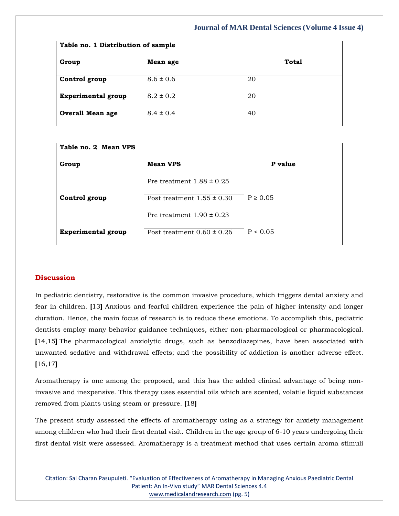| Table no. 1 Distribution of sample |               |              |  |
|------------------------------------|---------------|--------------|--|
| Group                              | Mean age      | <b>Total</b> |  |
| Control group                      | $8.6 \pm 0.6$ | 20           |  |
| <b>Experimental group</b>          | $8.2 \pm 0.2$ | 20           |  |
| <b>Overall Mean age</b>            | $8.4 \pm 0.4$ | 40           |  |

| Table no. 2 Mean VPS      |                                |              |  |
|---------------------------|--------------------------------|--------------|--|
| Group                     | <b>Mean VPS</b>                | P value      |  |
|                           | Pre treatment $1.88 \pm 0.25$  |              |  |
| Control group             | Post treatment $1.55 \pm 0.30$ | $P \ge 0.05$ |  |
|                           | Pre treatment $1.90 \pm 0.23$  |              |  |
| <b>Experimental group</b> | Post treatment $0.60 \pm 0.26$ | P < 0.05     |  |

# **Discussion**

In pediatric dentistry, restorative is the common invasive procedure, which triggers dental anxiety and fear in children. **[**13**]** Anxious and fearful children experience the pain of higher intensity and longer duration. Hence, the main focus of research is to reduce these emotions. To accomplish this, pediatric dentists employ many behavior guidance techniques, either non-pharmacological or pharmacological. **[**14,15**]** The pharmacological anxiolytic drugs, such as benzodiazepines, have been associated with unwanted sedative and withdrawal effects; and the possibility of addiction is another adverse effect. **[**16,17**]**

Aromatherapy is one among the proposed, and this has the added clinical advantage of being noninvasive and inexpensive. This therapy uses essential oils which are scented, volatile liquid substances removed from plants using steam or pressure. **[**18**]**

The present study assessed the effects of aromatherapy using as a strategy for anxiety management among children who had their first dental visit. Children in the age group of 6-10 years undergoing their first dental visit were assessed. Aromatherapy is a treatment method that uses certain aroma stimuli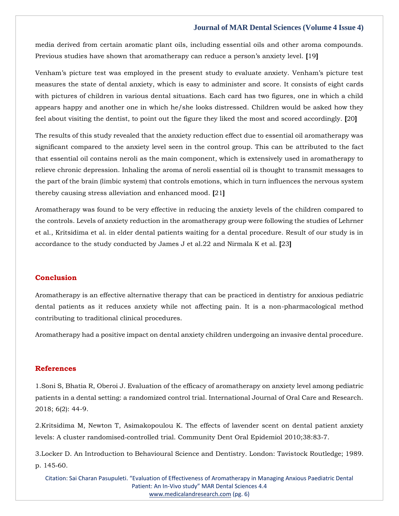media derived from certain aromatic plant oils, including essential oils and other aroma compounds. Previous studies have shown that aromatherapy can reduce a person's anxiety level. **[**19**]**

Venham's picture test was employed in the present study to evaluate anxiety. Venham's picture test measures the state of dental anxiety, which is easy to administer and score. It consists of eight cards with pictures of children in various dental situations. Each card has two figures, one in which a child appears happy and another one in which he/she looks distressed. Children would be asked how they feel about visiting the dentist, to point out the figure they liked the most and scored accordingly. **[**20**]**

The results of this study revealed that the anxiety reduction effect due to essential oil aromatherapy was significant compared to the anxiety level seen in the control group. This can be attributed to the fact that essential oil contains neroli as the main component, which is extensively used in aromatherapy to relieve chronic depression. Inhaling the aroma of neroli essential oil is thought to transmit messages to the part of the brain (limbic system) that controls emotions, which in turn influences the nervous system thereby causing stress alleviation and enhanced mood. **[**21**]**

Aromatherapy was found to be very effective in reducing the anxiety levels of the children compared to the controls. Levels of anxiety reduction in the aromatherapy group were following the studies of Lehrner et al., Kritsidima et al. in elder dental patients waiting for a dental procedure. Result of our study is in accordance to the study conducted by James J et al.22 and Nirmala K et al. **[**23**]**

# **Conclusion**

Aromatherapy is an effective alternative therapy that can be practiced in dentistry for anxious pediatric dental patients as it reduces anxiety while not affecting pain. It is a non-pharmacological method contributing to traditional clinical procedures.

Aromatherapy had a positive impact on dental anxiety children undergoing an invasive dental procedure.

#### **References**

1[.Soni S, Bhatia R, Oberoi J. Evaluation of the efficacy of aromatherapy on anxiety level among pediatric](https://www.google.com/search?q=Evaluation+of+the+efficacy+of+aromatherapy+on+anxiety+level+among+pediatric+patients+in+a+dental+setting%3A+a+randomized+control+trial.+International+Journal+of+Oral+Care+and+Research&oq=Evaluation+of+the+efficacy+of+aromatherapy+on+anxiety+level+among+pediatric+patients+in+a+dental+setting%3A+a+randomized+control+trial.+International+Journal+of+Oral+Care+and+Research&aqs=chrome..69i57.454j0j7&sourceid=chrome&ie=UTF-8)  [patients in a dental setting: a randomized control trial. International Journal of Oral Care and Research.](https://www.google.com/search?q=Evaluation+of+the+efficacy+of+aromatherapy+on+anxiety+level+among+pediatric+patients+in+a+dental+setting%3A+a+randomized+control+trial.+International+Journal+of+Oral+Care+and+Research&oq=Evaluation+of+the+efficacy+of+aromatherapy+on+anxiety+level+among+pediatric+patients+in+a+dental+setting%3A+a+randomized+control+trial.+International+Journal+of+Oral+Care+and+Research&aqs=chrome..69i57.454j0j7&sourceid=chrome&ie=UTF-8)  [2018; 6\(2\): 44-9.](https://www.google.com/search?q=Evaluation+of+the+efficacy+of+aromatherapy+on+anxiety+level+among+pediatric+patients+in+a+dental+setting%3A+a+randomized+control+trial.+International+Journal+of+Oral+Care+and+Research&oq=Evaluation+of+the+efficacy+of+aromatherapy+on+anxiety+level+among+pediatric+patients+in+a+dental+setting%3A+a+randomized+control+trial.+International+Journal+of+Oral+Care+and+Research&aqs=chrome..69i57.454j0j7&sourceid=chrome&ie=UTF-8)

2[.Kritsidima M, Newton T, Asimakopoulou K. The effects of lavender scent on dental patient anxiety](https://www.google.com/search?q=The+effects+of+lavender+scent+on+dental+patient+anxiety+levels%3A+A+cluster+randomised%E2%80%91controlled+trial&sxsrf=AOaemvIeNlobEuHgjc0e2bI63iPKpKsM5g%3A1642670097968&ei=ESjpYdHKOtSO2roPyeqn-AM&ved=0ahUKEwiRl7D9_r_1AhVUh1YBHUn1CT8Q4dUDCA4&uact=5&oq=The+effects+of+lavender+scent+on+dental+patient+anxiety+levels%3A+A+cluster+randomised%E2%80%91controlled+trial&gs_lcp=Cgdnd3Mtd2l6EAMyBwgjEOoCECcyBwgjEOoCECcyBwgjEOoCECcyBwgjEOoCECcyBwgjEOoCECcyBwgjEOoCECcyBwgjEOoCECcyBwgjEOoCECcyBwgjEOoCECcyBwgjEOoCECdKBAhBGABKBAhGGABQnAZYnAZg-QdoAXAAeACAAQCIAQCSAQCYAQCgAQGgAQKwAQrAAQE&sclient=gws-wiz)  levels: A cluster randomised‑[controlled trial. Community Dent Oral Epidemiol 2010;38:83](https://www.google.com/search?q=The+effects+of+lavender+scent+on+dental+patient+anxiety+levels%3A+A+cluster+randomised%E2%80%91controlled+trial&sxsrf=AOaemvIeNlobEuHgjc0e2bI63iPKpKsM5g%3A1642670097968&ei=ESjpYdHKOtSO2roPyeqn-AM&ved=0ahUKEwiRl7D9_r_1AhVUh1YBHUn1CT8Q4dUDCA4&uact=5&oq=The+effects+of+lavender+scent+on+dental+patient+anxiety+levels%3A+A+cluster+randomised%E2%80%91controlled+trial&gs_lcp=Cgdnd3Mtd2l6EAMyBwgjEOoCECcyBwgjEOoCECcyBwgjEOoCECcyBwgjEOoCECcyBwgjEOoCECcyBwgjEOoCECcyBwgjEOoCECcyBwgjEOoCECcyBwgjEOoCECcyBwgjEOoCECdKBAhBGABKBAhGGABQnAZYnAZg-QdoAXAAeACAAQCIAQCSAQCYAQCgAQGgAQKwAQrAAQE&sclient=gws-wiz)‑7.

3[.Locker D. An Introduction to Behavioural Science and Dentistry. London: Tavistock Routledge; 1989.](https://www.google.com/search?q=An+Introduction+to+Behavioural+Science+and+Dentistry&sxsrf=AOaemvJxSPlFa5Yx60euXCFqasTerxMUWg%3A1642670114011&ei=IijpYZMWp-Laug_pwrvwAw&ved=0ahUKEwiTr4OF_7_1AhUnsVYBHWnhDj4Q4dUDCA4&uact=5&oq=An+Introduction+to+Behavioural+Science+and+Dentistry&gs_lcp=Cgdnd3Mtd2l6EAMyBQghEKABOgcIIxDqAhAnOgcIIRAKEKABSgQIQRgASgQIRhgAUJEGWKURYPUXaAFwAHgAgAGQA4gBqAWSAQcyLTEuMC4xmAEAoAEBoAECsAEKwAEB&sclient=gws-wiz)  [p. 145](https://www.google.com/search?q=An+Introduction+to+Behavioural+Science+and+Dentistry&sxsrf=AOaemvJxSPlFa5Yx60euXCFqasTerxMUWg%3A1642670114011&ei=IijpYZMWp-Laug_pwrvwAw&ved=0ahUKEwiTr4OF_7_1AhUnsVYBHWnhDj4Q4dUDCA4&uact=5&oq=An+Introduction+to+Behavioural+Science+and+Dentistry&gs_lcp=Cgdnd3Mtd2l6EAMyBQghEKABOgcIIxDqAhAnOgcIIRAKEKABSgQIQRgASgQIRhgAUJEGWKURYPUXaAFwAHgAgAGQA4gBqAWSAQcyLTEuMC4xmAEAoAEBoAECsAEKwAEB&sclient=gws-wiz)‑60.

Citation: Sai Charan Pasupuleti. "Evaluation of Effectiveness of Aromatherapy in Managing Anxious Paediatric Dental Patient: An In-Vivo study" MAR Dental Sciences 4.4 [www.medicalandresearch.com](http://www.medicalandresearch.com/) (pg. 6)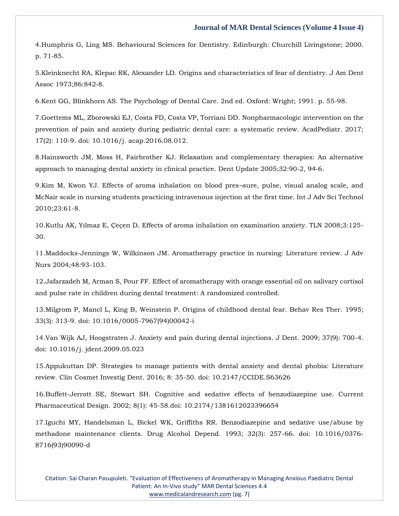4[.Humphris G, Ling MS. Behavioural Sciences for Dentistry. Edinburgh: Churchill Livingstone; 2000.](https://www.google.com/search?q=Behavioural+Sciences+for+Dentistry&sxsrf=AOaemvJxNa2OCJ9XW0yJ13CkufxrHJx4TA%3A1642670138926&ei=OijpYcb8N6Sl2roPz9it-AM&ved=0ahUKEwjGgfSQ_7_1AhWkklYBHU9sCz8Q4dUDCA4&uact=5&oq=Behavioural+Sciences+for+Dentistry&gs_lcp=Cgdnd3Mtd2l6EAMyBggAEBYQHjoHCCMQ6gIQJ0oECEEYAEoECEYYAFCoBVioBWDhB2gBcAJ4AIABgQKIAYECkgEDMi0xmAEAoAEBoAECsAEKwAEB&sclient=gws-wiz)  [p. 71](https://www.google.com/search?q=Behavioural+Sciences+for+Dentistry&sxsrf=AOaemvJxNa2OCJ9XW0yJ13CkufxrHJx4TA%3A1642670138926&ei=OijpYcb8N6Sl2roPz9it-AM&ved=0ahUKEwjGgfSQ_7_1AhWkklYBHU9sCz8Q4dUDCA4&uact=5&oq=Behavioural+Sciences+for+Dentistry&gs_lcp=Cgdnd3Mtd2l6EAMyBggAEBYQHjoHCCMQ6gIQJ0oECEEYAEoECEYYAFCoBVioBWDhB2gBcAJ4AIABgQKIAYECkgEDMi0xmAEAoAEBoAECsAEKwAEB&sclient=gws-wiz)‑85.

5[.Kleinknecht RA, Klepac RK, Alexander LD. Origins and characteristics of fear of dentistry. J Am Dent](https://www.google.com/search?q=Origins+and+characteristics+of+fear+of+dentistry&sxsrf=AOaemvKuOyqsaPSchcymXkzG9OS5SlYS6g%3A1642670161353&ei=USjpYdz9FJmM2roP0uaF-AM&ved=0ahUKEwic6syb_7_1AhUZhlYBHVJzAT8Q4dUDCA4&uact=5&oq=Origins+and+characteristics+of+fear+of+dentistry&gs_lcp=Cgdnd3Mtd2l6EAMyBggAEBYQHjoHCCMQ6gIQJ0oECEEYAEoECEYYAFCaBViaBWDzB2gBcAJ4AIABpQKIAaUCkgEDMi0xmAEAoAEBoAECsAEKwAEB&sclient=gws-wiz)  [Assoc 1973;86:842](https://www.google.com/search?q=Origins+and+characteristics+of+fear+of+dentistry&sxsrf=AOaemvKuOyqsaPSchcymXkzG9OS5SlYS6g%3A1642670161353&ei=USjpYdz9FJmM2roP0uaF-AM&ved=0ahUKEwic6syb_7_1AhUZhlYBHVJzAT8Q4dUDCA4&uact=5&oq=Origins+and+characteristics+of+fear+of+dentistry&gs_lcp=Cgdnd3Mtd2l6EAMyBggAEBYQHjoHCCMQ6gIQJ0oECEEYAEoECEYYAFCaBViaBWDzB2gBcAJ4AIABpQKIAaUCkgEDMi0xmAEAoAEBoAECsAEKwAEB&sclient=gws-wiz)‑8.

6[.Kent GG, Blinkhorn AS. The Psychology of Dental Care. 2nd ed. Oxford: Wright; 1991. p. 55](https://www.google.com/search?q=The+Psychology+of+Dental+Care&sxsrf=AOaemvJioWLnQQe2exHx27IXNCff3ZPK7A%3A1642670176795&ei=YCjpYauOMOnl2roP2KGE-AM&ved=0ahUKEwirvvui_7_1AhXpslYBHdgQAT8Q4dUDCA4&uact=5&oq=The+Psychology+of+Dental+Care&gs_lcp=Cgdnd3Mtd2l6EAMyCAghEBYQHRAeMggIIRAWEB0QHjIICCEQFhAdEB4yCAghEBYQHRAeMggIIRAWEB0QHjIICCEQFhAdEB4yCAghEBYQHRAeMggIIRAWEB0QHjIICCEQFhAdEB4yCAghEBYQHRAeOgcIIxDqAhAnSgQIQRgASgQIRhgAULIFWLIFYMkHaAFwAngAgAHSAYgB0gGSAQMyLTGYAQCgAQGgAQKwAQrAAQE&sclient=gws-wiz)‑98.

7[.Goettems ML, Zborowski EJ, Costa FD, Costa VP, Torriani DD. Nonpharmacologic intervention on the](https://www.google.com/search?q=Nonpharmacologic+intervention+on+the+prevention+of+pain+and+anxiety+during+pediatric+dental+care%3A+a+systematic+review&sxsrf=AOaemvLtv-T08zA4hVzVxIFf6aY1MXOaaA%3A1642670203667&ei=eyjpYaObKITR2roPsfSS-AM&ved=0ahUKEwjjxOOv_7_1AhWEqFYBHTG6BD8Q4dUDCA4&uact=5&oq=Nonpharmacologic+intervention+on+the+prevention+of+pain+and+anxiety+during+pediatric+dental+care%3A+a+systematic+review&gs_lcp=Cgdnd3Mtd2l6EAMyBwgjEOoCECcyBwgjEOoCECcyBwgjEOoCECcyBwgjEOoCECcyBwgjEOoCECcyBwgjEOoCECcyBwgjEOoCECcyBwgjEOoCECcyBwgjEOoCECcyBwgjEOoCECdKBAhBGABKBAhGGABQ0AVY0AVgkwhoAXACeACAAQCIAQCSAQCYAQCgAQGgAQKwAQrAAQE&sclient=gws-wiz)  [prevention of pain and anxiety during pediatric dental care: a systematic review. AcadPediatr. 2017;](https://www.google.com/search?q=Nonpharmacologic+intervention+on+the+prevention+of+pain+and+anxiety+during+pediatric+dental+care%3A+a+systematic+review&sxsrf=AOaemvLtv-T08zA4hVzVxIFf6aY1MXOaaA%3A1642670203667&ei=eyjpYaObKITR2roPsfSS-AM&ved=0ahUKEwjjxOOv_7_1AhWEqFYBHTG6BD8Q4dUDCA4&uact=5&oq=Nonpharmacologic+intervention+on+the+prevention+of+pain+and+anxiety+during+pediatric+dental+care%3A+a+systematic+review&gs_lcp=Cgdnd3Mtd2l6EAMyBwgjEOoCECcyBwgjEOoCECcyBwgjEOoCECcyBwgjEOoCECcyBwgjEOoCECcyBwgjEOoCECcyBwgjEOoCECcyBwgjEOoCECcyBwgjEOoCECcyBwgjEOoCECdKBAhBGABKBAhGGABQ0AVY0AVgkwhoAXACeACAAQCIAQCSAQCYAQCgAQGgAQKwAQrAAQE&sclient=gws-wiz)  [17\(2\): 110-9. doi: 10.1016/j. acap.2016.08.012.](https://www.google.com/search?q=Nonpharmacologic+intervention+on+the+prevention+of+pain+and+anxiety+during+pediatric+dental+care%3A+a+systematic+review&sxsrf=AOaemvLtv-T08zA4hVzVxIFf6aY1MXOaaA%3A1642670203667&ei=eyjpYaObKITR2roPsfSS-AM&ved=0ahUKEwjjxOOv_7_1AhWEqFYBHTG6BD8Q4dUDCA4&uact=5&oq=Nonpharmacologic+intervention+on+the+prevention+of+pain+and+anxiety+during+pediatric+dental+care%3A+a+systematic+review&gs_lcp=Cgdnd3Mtd2l6EAMyBwgjEOoCECcyBwgjEOoCECcyBwgjEOoCECcyBwgjEOoCECcyBwgjEOoCECcyBwgjEOoCECcyBwgjEOoCECcyBwgjEOoCECcyBwgjEOoCECcyBwgjEOoCECdKBAhBGABKBAhGGABQ0AVY0AVgkwhoAXACeACAAQCIAQCSAQCYAQCgAQGgAQKwAQrAAQE&sclient=gws-wiz)

8[.Hainsworth JM, Moss H, Fairbrother KJ. Relaxation and complementary therapies: An alternative](https://www.google.com/search?q=Relaxation+and+complementary+therapies%3A+An+alternative+approach+to+managing+dental+anxiety+in+clinical+practice&sxsrf=AOaemvKwv5v0ZBLXFqu2zBiV-UYnZE3vvg%3A1642670219637&ei=iyjpYce7JpKo2roP14OG-AM&ved=0ahUKEwiHrbK3_7_1AhUSlFYBHdeBAT8Q4dUDCA4&uact=5&oq=Relaxation+and+complementary+therapies%3A+An+alternative+approach+to+managing+dental+anxiety+in+clinical+practice&gs_lcp=Cgdnd3Mtd2l6EAMyBwgjEOoCECcyBwgjEOoCECcyBwgjEOoCECcyBwgjEOoCECcyBwgjEOoCECcyBwgjEOoCECcyBwgjEOoCECcyBwgjEOoCECcyBwgjEOoCECcyBwgjEOoCECdKBAhBGABKBAhGGABQywVYywVgzgdoAXAAeACAAQCIAQCSAQCYAQCgAQGgAQKwAQrAAQE&sclient=gws-wiz)  [approach to managing dental anxiety in clinical practice. Dent Update 2005;32:90](https://www.google.com/search?q=Relaxation+and+complementary+therapies%3A+An+alternative+approach+to+managing+dental+anxiety+in+clinical+practice&sxsrf=AOaemvKwv5v0ZBLXFqu2zBiV-UYnZE3vvg%3A1642670219637&ei=iyjpYce7JpKo2roP14OG-AM&ved=0ahUKEwiHrbK3_7_1AhUSlFYBHdeBAT8Q4dUDCA4&uact=5&oq=Relaxation+and+complementary+therapies%3A+An+alternative+approach+to+managing+dental+anxiety+in+clinical+practice&gs_lcp=Cgdnd3Mtd2l6EAMyBwgjEOoCECcyBwgjEOoCECcyBwgjEOoCECcyBwgjEOoCECcyBwgjEOoCECcyBwgjEOoCECcyBwgjEOoCECcyBwgjEOoCECcyBwgjEOoCECcyBwgjEOoCECdKBAhBGABKBAhGGABQywVYywVgzgdoAXAAeACAAQCIAQCSAQCYAQCgAQGgAQKwAQrAAQE&sclient=gws-wiz)-2, 94-6.

9[.Kim M, Kwon YJ. Effects of aroma inhalation on blood pres¬sure, pulse, visual analog scale, and](https://www.google.com/search?q=Effects+of+aroma+inhalation+on+blood+pres%C2%ACsure%2C+pulse%2C+visual+analog+scale%2C+and+McNair+scale+in+nursing+students+practicing+intravenous+injection+at+the+first+time&sxsrf=AOaemvILjPKl1SwcB1muWPzVlobKIlGMoQ%3A1642670237653&ei=nSjpYfirJ_3k2roPlLOx8AM&ved=0ahUKEwi47v2__7_1AhV9slYBHZRZDD4Q4dUDCA4&uact=5&oq=Effects+of+aroma+inhalation+on+blood+pres%C2%ACsure%2C+pulse%2C+visual+analog+scale%2C+and+McNair+scale+in+nursing+students+practicing+intravenous+injection+at+the+first+time&gs_lcp=Cgdnd3Mtd2l6EAMyBwgjEOoCECcyBwgjEOoCECcyBwgjEOoCECcyBwgjEOoCECcyBwgjEOoCECcyBwgjEOoCECcyBwgjEOoCECcyBwgjEOoCECcyBwgjEOoCECcyBwgjEOoCECdKBAhBGABKBAhGGABQlwVYlwVgxgdoAXAAeACAAQCIAQCSAQCYAQCgAQGgAQKwAQrAAQE&sclient=gws-wiz)  [McNair scale in nursing students practicing intravenous injection at the first time. Int J Adv Sci Technol](https://www.google.com/search?q=Effects+of+aroma+inhalation+on+blood+pres%C2%ACsure%2C+pulse%2C+visual+analog+scale%2C+and+McNair+scale+in+nursing+students+practicing+intravenous+injection+at+the+first+time&sxsrf=AOaemvILjPKl1SwcB1muWPzVlobKIlGMoQ%3A1642670237653&ei=nSjpYfirJ_3k2roPlLOx8AM&ved=0ahUKEwi47v2__7_1AhV9slYBHZRZDD4Q4dUDCA4&uact=5&oq=Effects+of+aroma+inhalation+on+blood+pres%C2%ACsure%2C+pulse%2C+visual+analog+scale%2C+and+McNair+scale+in+nursing+students+practicing+intravenous+injection+at+the+first+time&gs_lcp=Cgdnd3Mtd2l6EAMyBwgjEOoCECcyBwgjEOoCECcyBwgjEOoCECcyBwgjEOoCECcyBwgjEOoCECcyBwgjEOoCECcyBwgjEOoCECcyBwgjEOoCECcyBwgjEOoCECcyBwgjEOoCECdKBAhBGABKBAhGGABQlwVYlwVgxgdoAXAAeACAAQCIAQCSAQCYAQCgAQGgAQKwAQrAAQE&sclient=gws-wiz)  [2010;23:61-8.](https://www.google.com/search?q=Effects+of+aroma+inhalation+on+blood+pres%C2%ACsure%2C+pulse%2C+visual+analog+scale%2C+and+McNair+scale+in+nursing+students+practicing+intravenous+injection+at+the+first+time&sxsrf=AOaemvILjPKl1SwcB1muWPzVlobKIlGMoQ%3A1642670237653&ei=nSjpYfirJ_3k2roPlLOx8AM&ved=0ahUKEwi47v2__7_1AhV9slYBHZRZDD4Q4dUDCA4&uact=5&oq=Effects+of+aroma+inhalation+on+blood+pres%C2%ACsure%2C+pulse%2C+visual+analog+scale%2C+and+McNair+scale+in+nursing+students+practicing+intravenous+injection+at+the+first+time&gs_lcp=Cgdnd3Mtd2l6EAMyBwgjEOoCECcyBwgjEOoCECcyBwgjEOoCECcyBwgjEOoCECcyBwgjEOoCECcyBwgjEOoCECcyBwgjEOoCECcyBwgjEOoCECcyBwgjEOoCECcyBwgjEOoCECdKBAhBGABKBAhGGABQlwVYlwVgxgdoAXAAeACAAQCIAQCSAQCYAQCgAQGgAQKwAQrAAQE&sclient=gws-wiz)

10.[Kutlu AK, Yılmaz E, Çeçen D. Effects of aroma inhalation on examination anxiety. TLN 2008;3:125](https://www.google.com/search?q=Effects+of+aroma+inhalation+on+examination+anxiety&sxsrf=AOaemvJCTnArNTJgpiaq-uwzg26YIlaW_A%3A1642670258679&ei=sijpYbPvKLrk2roP6uOO-AM&ved=0ahUKEwizkIHK_7_1AhU6slYBHeqxAz8Q4dUDCA4&uact=5&oq=Effects+of+aroma+inhalation+on+examination+anxiety&gs_lcp=Cgdnd3Mtd2l6EAMyBQgAEIAEOgcIIxDqAhAnSgQIQRgASgQIRhgAUIIFWIIFYKIHaAFwAHgAgAHzAYgB8wGSAQMyLTGYAQCgAQGgAQKwAQrAAQE&sclient=gws-wiz)- [30.](https://www.google.com/search?q=Effects+of+aroma+inhalation+on+examination+anxiety&sxsrf=AOaemvJCTnArNTJgpiaq-uwzg26YIlaW_A%3A1642670258679&ei=sijpYbPvKLrk2roP6uOO-AM&ved=0ahUKEwizkIHK_7_1AhU6slYBHeqxAz8Q4dUDCA4&uact=5&oq=Effects+of+aroma+inhalation+on+examination+anxiety&gs_lcp=Cgdnd3Mtd2l6EAMyBQgAEIAEOgcIIxDqAhAnSgQIQRgASgQIRhgAUIIFWIIFYKIHaAFwAHgAgAHzAYgB8wGSAQMyLTGYAQCgAQGgAQKwAQrAAQE&sclient=gws-wiz)

11[.Maddocks-Jennings W, Wilkinson JM. Aromatherapy practice in nursing: Literature review. J Adv](https://www.google.com/search?q=Aromatherapy+prac%C2%ACtice+in+nursing%3A+Literature+review&sxsrf=AOaemvK_rUgy-_V26L3FjFKClUS9XMlafQ%3A1642670273790&ei=wSjpYf7FL5jg2roPjdu78AM&ved=0ahUKEwi-qpvR_7_1AhUYsFYBHY3tDj4Q4dUDCA4&uact=5&oq=Aromatherapy+prac%C2%ACtice+in+nursing%3A+Literature+review&gs_lcp=Cgdnd3Mtd2l6EAMyBggAEA0QHjoHCCMQ6gIQJ0oECEEYAEoECEYYAFCQBViQBWCpB2gBcAB4AIAB4wGIAeMBkgEDMi0xmAEAoAEBoAECsAEKwAEB&sclient=gws-wiz)  [Nurs 2004;48:93-103.](https://www.google.com/search?q=Aromatherapy+prac%C2%ACtice+in+nursing%3A+Literature+review&sxsrf=AOaemvK_rUgy-_V26L3FjFKClUS9XMlafQ%3A1642670273790&ei=wSjpYf7FL5jg2roPjdu78AM&ved=0ahUKEwi-qpvR_7_1AhUYsFYBHY3tDj4Q4dUDCA4&uact=5&oq=Aromatherapy+prac%C2%ACtice+in+nursing%3A+Literature+review&gs_lcp=Cgdnd3Mtd2l6EAMyBggAEA0QHjoHCCMQ6gIQJ0oECEEYAEoECEYYAFCQBViQBWCpB2gBcAB4AIAB4wGIAeMBkgEDMi0xmAEAoAEBoAECsAEKwAEB&sclient=gws-wiz)

12[.Jafarzadeh M, Arman S, Pour FF. Effect of aromatherapy with orange essential oil on salivary cortisol](https://www.google.com/search?q=Effect+of+aromatherapy+with+orange+essential+oil+on+salivary+cortisol+and+pulse+rate+in+children+during+dental+treatment%3A+A+randomized+controlled&sxsrf=AOaemvJVfjknIi2VbfWIyekE7eB6_MzL7g%3A1642670289965&ei=0SjpYam7Or7c2roPr82t-AM&ved=0ahUKEwjp5_bY_7_1AhU-rlYBHa9mCz8Q4dUDCA4&uact=5&oq=Effect+of+aromatherapy+with+orange+essential+oil+on+salivary+cortisol+and+pulse+rate+in+children+during+dental+treatment%3A+A+randomized+controlled&gs_lcp=Cgdnd3Mtd2l6EAMyBwgjEOoCECcyBwgjEOoCECcyBwgjEOoCECcyBwgjEOoCECcyBwgjEOoCECcyBwgjEOoCECcyBwgjEOoCECcyBwgjEOoCECcyBwgjEOoCECcyBwgjEOoCECdKBAhBGABKBAhGGABQlwVYlwVgrAdoAXABeACAAQCIAQCSAQCYAQCgAQGgAQKwAQrAAQE&sclient=gws-wiz)  [and pulse rate in children during dental treatment: A randomized controlled.](https://www.google.com/search?q=Effect+of+aromatherapy+with+orange+essential+oil+on+salivary+cortisol+and+pulse+rate+in+children+during+dental+treatment%3A+A+randomized+controlled&sxsrf=AOaemvJVfjknIi2VbfWIyekE7eB6_MzL7g%3A1642670289965&ei=0SjpYam7Or7c2roPr82t-AM&ved=0ahUKEwjp5_bY_7_1AhU-rlYBHa9mCz8Q4dUDCA4&uact=5&oq=Effect+of+aromatherapy+with+orange+essential+oil+on+salivary+cortisol+and+pulse+rate+in+children+during+dental+treatment%3A+A+randomized+controlled&gs_lcp=Cgdnd3Mtd2l6EAMyBwgjEOoCECcyBwgjEOoCECcyBwgjEOoCECcyBwgjEOoCECcyBwgjEOoCECcyBwgjEOoCECcyBwgjEOoCECcyBwgjEOoCECcyBwgjEOoCECcyBwgjEOoCECdKBAhBGABKBAhGGABQlwVYlwVgrAdoAXABeACAAQCIAQCSAQCYAQCgAQGgAQKwAQrAAQE&sclient=gws-wiz)

13[.Milgrom P, Mancl L, King B, Weinstein P. Origins of childhood dental fear. Behav Res Ther. 1995;](https://www.google.com/search?q=Origins+of+childhood+dental+fear&sxsrf=AOaemvLy-k6s7kGbhwNWAHUubCAORu_xRw%3A1642670313218&ei=6SjpYaXADL3l2roPp-O4-AM&ved=0ahUKEwjl2IHk_7_1AhW9slYBHacxDj8Q4dUDCA4&uact=5&oq=Origins+of+childhood+dental+fear&gs_lcp=Cgdnd3Mtd2l6EAMyBggAEBYQHjoHCCMQ6gIQJ0oECEEYAEoECEYYAFDbBVjbBWCXCGgBcAJ4AIAB_gGIAf4BkgEDMi0xmAEAoAEBoAECsAEKwAEB&sclient=gws-wiz)  [33\(3\): 313-9. doi: 10.1016/0005-7967\(94\)00042-i](https://www.google.com/search?q=Origins+of+childhood+dental+fear&sxsrf=AOaemvLy-k6s7kGbhwNWAHUubCAORu_xRw%3A1642670313218&ei=6SjpYaXADL3l2roPp-O4-AM&ved=0ahUKEwjl2IHk_7_1AhW9slYBHacxDj8Q4dUDCA4&uact=5&oq=Origins+of+childhood+dental+fear&gs_lcp=Cgdnd3Mtd2l6EAMyBggAEBYQHjoHCCMQ6gIQJ0oECEEYAEoECEYYAFDbBVjbBWCXCGgBcAJ4AIAB_gGIAf4BkgEDMi0xmAEAoAEBoAECsAEKwAEB&sclient=gws-wiz)

14[.Van Wijk AJ, Hoogstraten J. Anxiety and pain during dental injections. J Dent. 2009; 37\(9\): 700-4.](https://www.google.com/search?q=Anxiety+and+pain+during+dental+injections&sxsrf=AOaemvKHUr1tPP50zdUucWKnLKHRoNifBQ%3A1642670339761&ei=AynpYZuFLpje2roP3NiD-AM&ved=0ahUKEwjbktbw_7_1AhUYr1YBHVzsAD8Q4dUDCA4&uact=5&oq=Anxiety+and+pain+during+dental+injections&gs_lcp=Cgdnd3Mtd2l6EAMyBwgjEOoCECcyBwgjEOoCECcyBwgjEOoCECcyBwgjEOoCECcyBwgjEOoCECcyBwgjEOoCECcyBwgjEOoCECcyBwgjEOoCECcyBwgjEOoCECcyBwgjEOoCECdKBAhBGABKBAhGGABQkQVYkQVgpwdoAXAAeACAAQCIAQCSAQCYAQCgAQGgAQKwAQrAAQE&sclient=gws-wiz)  [doi: 10.1016/j. jdent.2009.05.023](https://www.google.com/search?q=Anxiety+and+pain+during+dental+injections&sxsrf=AOaemvKHUr1tPP50zdUucWKnLKHRoNifBQ%3A1642670339761&ei=AynpYZuFLpje2roP3NiD-AM&ved=0ahUKEwjbktbw_7_1AhUYr1YBHVzsAD8Q4dUDCA4&uact=5&oq=Anxiety+and+pain+during+dental+injections&gs_lcp=Cgdnd3Mtd2l6EAMyBwgjEOoCECcyBwgjEOoCECcyBwgjEOoCECcyBwgjEOoCECcyBwgjEOoCECcyBwgjEOoCECcyBwgjEOoCECcyBwgjEOoCECcyBwgjEOoCECcyBwgjEOoCECdKBAhBGABKBAhGGABQkQVYkQVgpwdoAXAAeACAAQCIAQCSAQCYAQCgAQGgAQKwAQrAAQE&sclient=gws-wiz)

15.Appukuttan DP. [Strategies to manage patients with dental anxiety and dental phobia: Literature](https://www.google.com/search?q=Strategies+to+manage+patients+with+dental+anxiety+and+dental+phobia%3A+Literature+review&sxsrf=AOaemvLOqh6eQuelewy7GrWBmeaScGbQHQ%3A1642670362336&ei=GinpYYuFFOvf2roPsrK28AM&ved=0ahUKEwiL-rf7_7_1AhXrr1YBHTKZDT4Q4dUDCA4&uact=5&oq=Strategies+to+manage+patients+with+dental+anxiety+and+dental+phobia%3A+Literature+review&gs_lcp=Cgdnd3Mtd2l6EAMyBQgAEIAEOgcIIxDqAhAnSgQIQRgASgQIRhgAUI8GWI8GYK4IaAFwAngAgAH9AYgB_QGSAQMyLTGYAQCgAQGgAQKwAQrAAQE&sclient=gws-wiz)  [review. Clin Cosmet Investig Dent. 2016; 8: 35-50. doi: 10.2147/CCIDE.S63626](https://www.google.com/search?q=Strategies+to+manage+patients+with+dental+anxiety+and+dental+phobia%3A+Literature+review&sxsrf=AOaemvLOqh6eQuelewy7GrWBmeaScGbQHQ%3A1642670362336&ei=GinpYYuFFOvf2roPsrK28AM&ved=0ahUKEwiL-rf7_7_1AhXrr1YBHTKZDT4Q4dUDCA4&uact=5&oq=Strategies+to+manage+patients+with+dental+anxiety+and+dental+phobia%3A+Literature+review&gs_lcp=Cgdnd3Mtd2l6EAMyBQgAEIAEOgcIIxDqAhAnSgQIQRgASgQIRhgAUI8GWI8GYK4IaAFwAngAgAH9AYgB_QGSAQMyLTGYAQCgAQGgAQKwAQrAAQE&sclient=gws-wiz)

16[.Buffett-Jerrott SE, Stewart SH. Cognitive and sedative effects of benzodiazepine use. Current](https://www.google.com/search?q=Cognitive+and+sedative+effects+of+benzodiazepine+use.+Current+Pharmaceutical+Design&sxsrf=AOaemvLwQdNUZI7o2G4JkHGXYoE5ny8shA%3A1642670380428&ei=LCnpYebAGdTe2roPyt6l8AM&ved=0ahUKEwjmhoiEgMD1AhVUr1YBHUpvCT4Q4dUDCA4&uact=5&oq=Cognitive+and+sedative+effects+of+benzodiazepine+use.+Current+Pharmaceutical+Design&gs_lcp=Cgdnd3Mtd2l6EAM6BwgjEOoCECdKBAhBGABKBAhGGABQ3gVY3gVgmwhoAXACeACAAYECiAGBApIBAzItMZgBAKABAaABArABCsABAQ&sclient=gws-wiz)  [Pharmaceutical Design. 2002; 8\(1\): 45-58.doi: 10.2174/1381612023396654](https://www.google.com/search?q=Cognitive+and+sedative+effects+of+benzodiazepine+use.+Current+Pharmaceutical+Design&sxsrf=AOaemvLwQdNUZI7o2G4JkHGXYoE5ny8shA%3A1642670380428&ei=LCnpYebAGdTe2roPyt6l8AM&ved=0ahUKEwjmhoiEgMD1AhVUr1YBHUpvCT4Q4dUDCA4&uact=5&oq=Cognitive+and+sedative+effects+of+benzodiazepine+use.+Current+Pharmaceutical+Design&gs_lcp=Cgdnd3Mtd2l6EAM6BwgjEOoCECdKBAhBGABKBAhGGABQ3gVY3gVgmwhoAXACeACAAYECiAGBApIBAzItMZgBAKABAaABArABCsABAQ&sclient=gws-wiz)

17[.Iguchi MY, Handelsman L, Bickel WK, Griffiths RR. Benzodiazepine and sedative use/abuse by](https://www.google.com/search?q=Benzodiazepine+and+sedative+use%2Fabuse+by+methadone+maintenance+clients&sxsrf=AOaemvJqRvhLpEUCPkDTBtnFSPE7J9N9DA%3A1642670399191&ei=PynpYZeYC5fm2roP-fyk-AM&ved=0ahUKEwjXs4GNgMD1AhUXs1YBHXk-CT8Q4dUDCA4&uact=5&oq=Benzodiazepine+and+sedative+use%2Fabuse+by+methadone+maintenance+clients&gs_lcp=Cgdnd3Mtd2l6EAM6BwgjEOoCECdKBAhBGABKBAhGGABQzgVYzgVgoQhoAXAAeACAAcICiAHCApIBAzMtMZgBAKABAaABArABCsABAQ&sclient=gws-wiz)  [methadone maintenance clients. Drug Alcohol Depend. 1993; 32\(3\): 257-66. doi: 10.1016/0376-](https://www.google.com/search?q=Benzodiazepine+and+sedative+use%2Fabuse+by+methadone+maintenance+clients&sxsrf=AOaemvJqRvhLpEUCPkDTBtnFSPE7J9N9DA%3A1642670399191&ei=PynpYZeYC5fm2roP-fyk-AM&ved=0ahUKEwjXs4GNgMD1AhUXs1YBHXk-CT8Q4dUDCA4&uact=5&oq=Benzodiazepine+and+sedative+use%2Fabuse+by+methadone+maintenance+clients&gs_lcp=Cgdnd3Mtd2l6EAM6BwgjEOoCECdKBAhBGABKBAhGGABQzgVYzgVgoQhoAXAAeACAAcICiAHCApIBAzMtMZgBAKABAaABArABCsABAQ&sclient=gws-wiz) [8716\(93\)90090-d](https://www.google.com/search?q=Benzodiazepine+and+sedative+use%2Fabuse+by+methadone+maintenance+clients&sxsrf=AOaemvJqRvhLpEUCPkDTBtnFSPE7J9N9DA%3A1642670399191&ei=PynpYZeYC5fm2roP-fyk-AM&ved=0ahUKEwjXs4GNgMD1AhUXs1YBHXk-CT8Q4dUDCA4&uact=5&oq=Benzodiazepine+and+sedative+use%2Fabuse+by+methadone+maintenance+clients&gs_lcp=Cgdnd3Mtd2l6EAM6BwgjEOoCECdKBAhBGABKBAhGGABQzgVYzgVgoQhoAXAAeACAAcICiAHCApIBAzMtMZgBAKABAaABArABCsABAQ&sclient=gws-wiz)